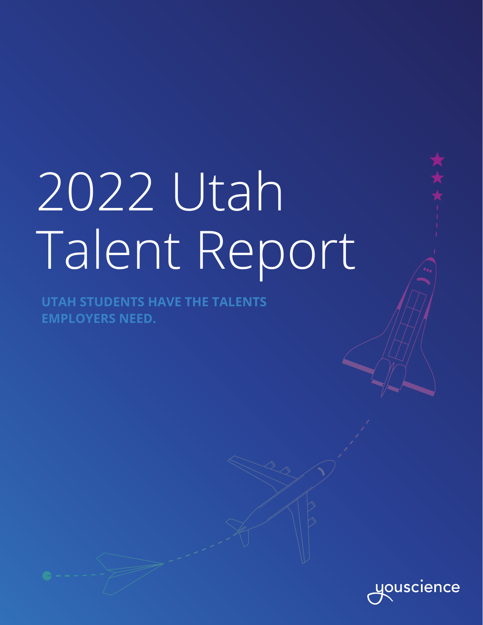# 2022 Utah Talent Report

**UTAH STUDENTS HAVE THE TALENTS EMPLOYERS NEED.**

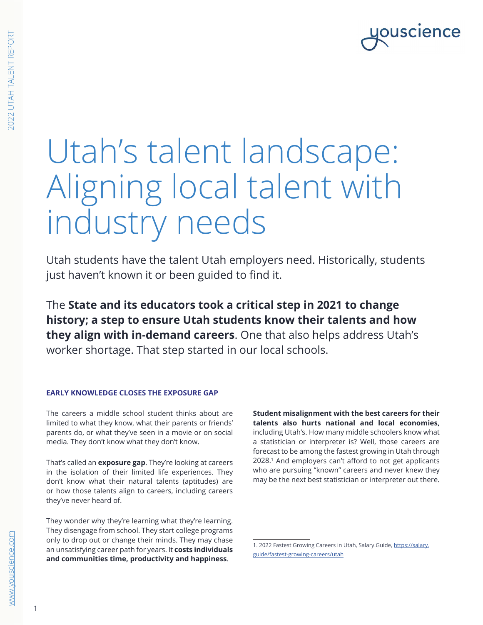### **OUSCIENCE**

## Utah's talent landscape: Aligning local talent with industry needs

Utah students have the talent Utah employers need. Historically, students just haven't known it or been guided to find it.

The **State and its educators took a critical step in 2021 to change history; a step to ensure Utah students know their talents and how they align with in-demand careers**. One that also helps address Utah's worker shortage. That step started in our local schools.

#### **EARLY KNOWLEDGE CLOSES THE EXPOSURE GAP**

The careers a middle school student thinks about are limited to what they know, what their parents or friends' parents do, or what they've seen in a movie or on social media. They don't know what they don't know.

That's called an **exposure gap**. They're looking at careers in the isolation of their limited life experiences. They don't know what their natural talents (aptitudes) are or how those talents align to careers, including careers they've never heard of.

They wonder why they're learning what they're learning. They disengage from school. They start college programs only to drop out or change their minds. They may chase an unsatisfying career path for years. It **costs individuals and communities time, productivity and happiness**.

**Student misalignment with the best careers for their talents also hurts national and local economies,** including Utah's. How many middle schoolers know what a statistician or interpreter is? Well, those careers are forecast to be among the fastest growing in Utah through 2028.1 And employers can't afford to not get applicants who are pursuing "known" careers and never knew they may be the next best statistician or interpreter out there.

<sup>1. 2022</sup> Fastest Growing Careers in Utah, Salary.Guide, [https://salary.](https://salary.guide/fastest-growing-careers/utah) [guide/fastest-growing-careers/utah](https://salary.guide/fastest-growing-careers/utah)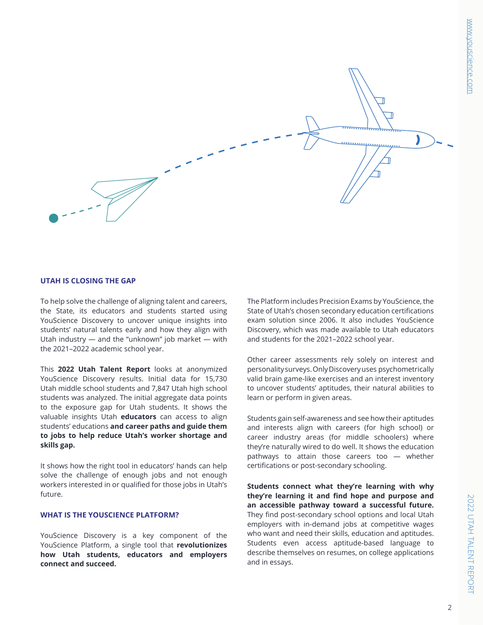

#### **UTAH IS CLOSING THE GAP**

To help solve the challenge of aligning talent and careers, the State, its educators and students started using YouScience Discovery to uncover unique insights into students' natural talents early and how they align with Utah industry — and the "unknown" job market — with the 2021–2022 academic school year.

This **2022 Utah Talent Report** looks at anonymized YouScience Discovery results. Initial data for 15,730 Utah middle school students and 7,847 Utah high school students was analyzed. The initial aggregate data points to the exposure gap for Utah students. It shows the valuable insights Utah **educators** can access to align students' educations **and career paths and guide them to jobs to help reduce Utah's worker shortage and skills gap.**

It shows how the right tool in educators' hands can help solve the challenge of enough jobs and not enough workers interested in or qualified for those jobs in Utah's future.

#### **WHAT IS THE YOUSCIENCE PLATFORM?**

YouScience Discovery is a key component of the YouScience Platform, a single tool that **revolutionizes how Utah students, educators and employers connect and succeed.**

The Platform includes Precision Exams by YouScience, the State of Utah's chosen secondary education certifications exam solution since 2006. It also includes YouScience Discovery, which was made available to Utah educators and students for the 2021–2022 school year.

Other career assessments rely solely on interest and personality surveys. Only Discovery uses psychometrically valid brain game-like exercises and an interest inventory to uncover students' aptitudes, their natural abilities to learn or perform in given areas.

Students gain self-awareness and see how their aptitudes and interests align with careers (for high school) or career industry areas (for middle schoolers) where they're naturally wired to do well. It shows the education pathways to attain those careers too — whether certifications or post-secondary schooling.

**Students connect what they're learning with why they're learning it and find hope and purpose and an accessible pathway toward a successful future.** They find post-secondary school options and local Utah employers with in-demand jobs at competitive wages who want and need their skills, education and aptitudes. Students even access aptitude-based language to describe themselves on resumes, on college applications and in essays.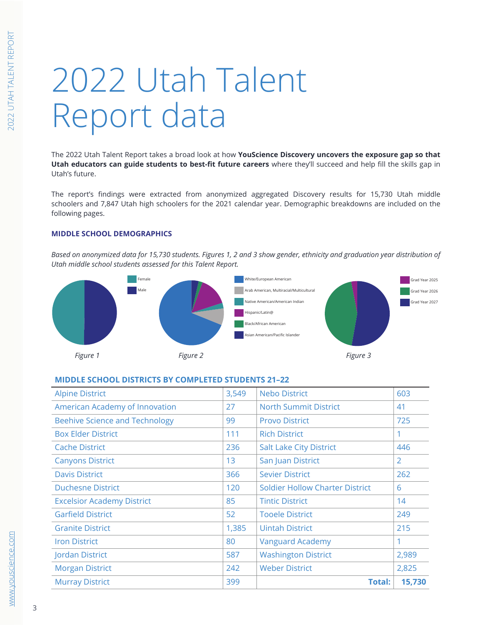### Female Male 2022 Utah Talent Report data Male

Female The 2022 Utah Talent Report takes a broad look at how YouScience Discovery uncovers the exposure gap so that an CCT3 where they a succeed and help in the skins gap in Utah educators can guide students to best-fit future careers where they'll succeed and help fill the skills gap in Utah's future.

51: Production schoolers and 7,847 Utah high schoolers for the 2021 calendar year. Demographic breakdowns are included on the The report's findings were extracted from anonymized aggregated Discovery results for 15,730 Utah middle following pages.

#### **MIDDLE SCHOOL DEMOGRAPHICS**

Based on anonymized data for 15,730 students. Figures 1, 2 and 3 show gender, ethnicity and graduation year distribution of *Utah middle school students assessed for this Talent Report.*



#### **MIDDLE SCHOOL DISTRICTS BY COMPLETED STUDENTS 21–22**

| <b>Alpine District</b>                | 3,549 | <b>Nebo District</b><br>603            |                |
|---------------------------------------|-------|----------------------------------------|----------------|
| American Academy of Innovation        | 27    | <b>North Summit District</b>           | 41             |
| <b>Beehive Science and Technology</b> | 99    | <b>Provo District</b>                  | 725            |
| <b>Box Elder District</b>             | 111   | <b>Rich District</b>                   |                |
| <b>Cache District</b>                 | 236   | <b>Salt Lake City District</b>         | 446            |
| <b>Canyons District</b>               | 13    | San Juan District                      | $\overline{2}$ |
| <b>Davis District</b>                 | 366   | <b>Sevier District</b>                 | 262            |
| <b>Duchesne District</b>              | 120   | <b>Soldier Hollow Charter District</b> | 6              |
| <b>Excelsior Academy District</b>     | 85    | <b>Tintic District</b>                 | 14             |
| <b>Garfield District</b>              | 52    | <b>Tooele District</b>                 | 249            |
| <b>Granite District</b>               | 1,385 | <b>Uintah District</b>                 | 215            |
| <b>Iron District</b>                  | 80    | <b>Vanguard Academy</b>                |                |
| Jordan District                       | 587   | <b>Washington District</b><br>2,989    |                |
| <b>Morgan District</b>                | 242   | <b>Weber District</b><br>2,825         |                |
| <b>Murray District</b>                | 399   | <b>Total:</b>                          | 15,730         |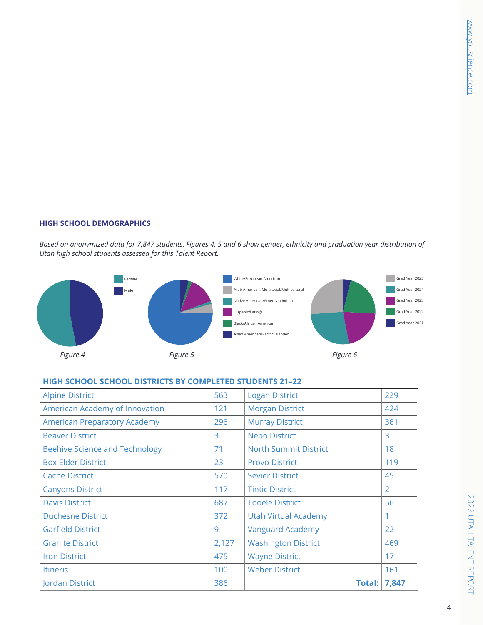#### **HIGH SCHOOL DEMOGRAPHICS**

Utah high school students assessed for this Talent Report. *Based on anonymized data for 7,847 students. Figures 4, 5 and 6 show gender, ethnicity and graduation year distribution of* 



#### HIGH SCHOOL SCHOOL DISTRICTS BY COMPLETED STUDENTS 21–22

| Jordan District                       | 386   | <b>Total: 7,847</b>          |                |
|---------------------------------------|-------|------------------------------|----------------|
| <b>Itineris</b>                       | 100   | <b>Weber District</b>        | 161            |
| <b>Iron District</b>                  | 475   | <b>Wayne District</b>        | 17             |
| <b>Granite District</b>               | 2,127 | <b>Washington District</b>   | 469            |
| <b>Garfield District</b>              | 9     | <b>Vanguard Academy</b>      | 22             |
| <b>Duchesne District</b>              | 372   | <b>Utah Virtual Academy</b>  | 1              |
| <b>Davis District</b>                 | 687   | <b>Tooele District</b>       | 56             |
| <b>Canyons District</b>               | 117   | <b>Tintic District</b>       | $\overline{2}$ |
| <b>Cache District</b>                 | 570   | <b>Sevier District</b>       | 45             |
| <b>Box Elder District</b>             | 23    | <b>Provo District</b>        | 119            |
| <b>Beehive Science and Technology</b> | 71    | <b>North Summit District</b> | 18             |
| <b>Beaver District</b>                | 3     | <b>Nebo District</b>         | 3              |
| <b>American Preparatory Academy</b>   | 296   | <b>Murray District</b>       | 361            |
| American Academy of Innovation        | 121   | <b>Morgan District</b>       | 424            |
| <b>Alpine District</b>                | 563   | <b>Logan District</b>        | 229            |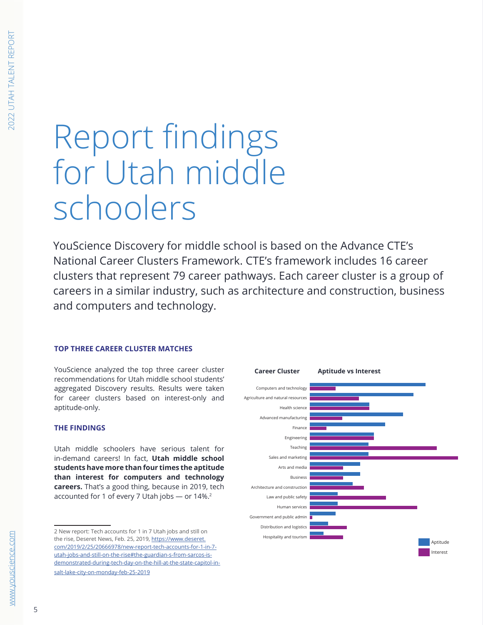### Report findings **For Utah middle** schoolers  $-1$ Male  $\overline{\phantom{a}}$ Other

YouScience Discovery for middle school is based on the Advance CTE's National Career Clusters Framework. CTE's framework includes 16 career clusters that represent 79 career pathways. Each career cluster is a group of careers in a similar industry, such as architecture and construction, business and computers and technology.  $\mathbf{y}$  and repair  $\mathbf{y}$  and representation, maintenance and representation,  $\mathbf{y}$ t 70 caroor pathways Eash  $3.3$  in direction support  $\sim$  $\sim$  Sales and related by 11: Management

#### **TOP THREE CAREER CLUSTER MATCHES**

YouScience analyzed the top three career cluster recommendations for Utah middle school students' aggregated Discovery results. Results were taken for career clusters based on interest-only and aptitude-only. Middle School Demographics

#### **THE FINDINGS**

Utah middle schoolers have serious talent for in-demand careers! In fact, **Utah middle school students have more than four times the aptitude than interest for computers and technology careers.** That's a good thing, because in 2019, tech accounted for 1 of every 7 Utah jobs - or 14%.<sup>2</sup>

<sup>2</sup> New report: Tech accounts for 1 in 7 Utah jobs and still on the rise, Deseret News, Feb. 25, 2019, <u>https://www.deseret.</u> [com/2019/2/25/20666978/new-report-tech-accounts-for-1-in-7](https://www.deseret.com/2019/2/25/20666978/new-report-tech-accounts-for-1-in-7-utah-jobs-and-still-on-the-rise#the-guardian-s-from-sarcos-is-demonstrated-during-tech-day-on-the-hill-at-the-state-capitol-in-salt-lake-city-on-monday-feb-25-2019) [utah-jobs-and-still-on-the-rise#the-guardian-s-from-sarcos-is](https://www.deseret.com/2019/2/25/20666978/new-report-tech-accounts-for-1-in-7-utah-jobs-and-still-on-the-rise#the-guardian-s-from-sarcos-is-demonstrated-during-tech-day-on-the-hill-at-the-state-capitol-in-salt-lake-city-on-monday-feb-25-2019)[demonstrated-during-tech-day-on-the-hill-at-the-state-capitol-in](https://www.deseret.com/2019/2/25/20666978/new-report-tech-accounts-for-1-in-7-utah-jobs-and-still-on-the-rise#the-guardian-s-from-sarcos-is-demonstrated-during-tech-day-on-the-hill-at-the-state-capitol-in-salt-lake-city-on-monday-feb-25-2019)[salt-lake-city-on-monday-feb-25-2019](https://www.deseret.com/2019/2/25/20666978/new-report-tech-accounts-for-1-in-7-utah-jobs-and-still-on-the-rise#the-guardian-s-from-sarcos-is-demonstrated-during-tech-day-on-the-hill-at-the-state-capitol-in-salt-lake-city-on-monday-feb-25-2019) the rise, Deseret News, Feb. 25, 2019, <u>http</u><br>
com/2019/2/25/20666978/new-report-tec<br>
utah-jobs-and-still-on-the-rise#the-guardi<br>
demonstrated-during-tech-day-on-the-hill<br>
salt-lake-city-on-monday-feb-25-2019<br>
5

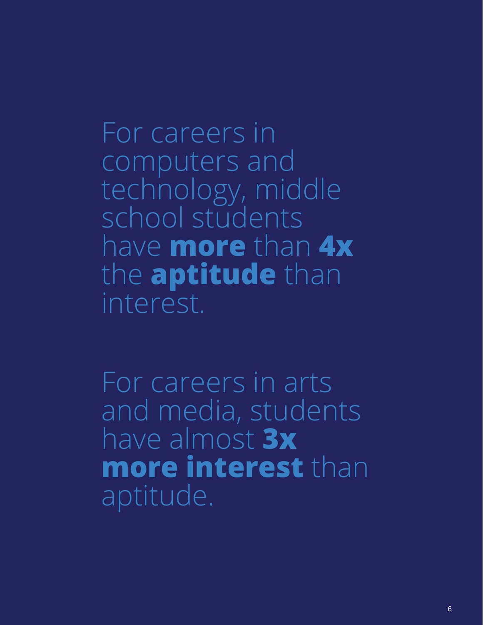For careers in computers and technology, middle school students have **more** than **4x** the **aptitude** than interest.

For careers in arts and media, students have almost **3x more interest** than aptitude.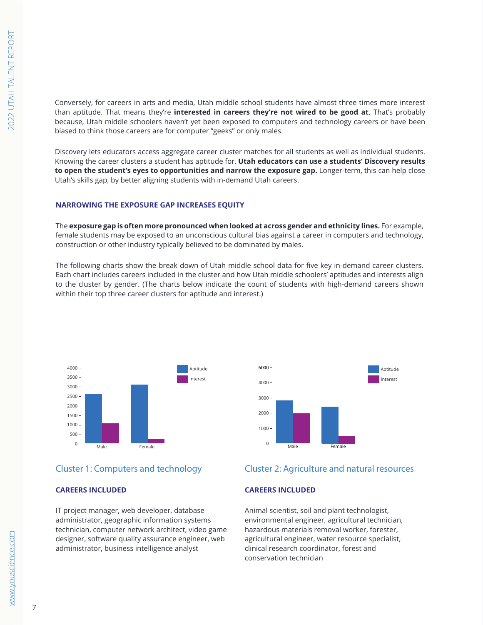Conversely, for careers in arts and media, Utah middle school students have almost three times more interest than aptitude. That means they're **interested in careers they're not wired to be good at**. That's probably because, Utah middle schoolers haven't yet been exposed to computers and technology careers or have been biased to think those careers are for computer "geeks" or only males.

Discovery lets educators access aggregate career cluster matches for all students as well as individual students. Knowing the career clusters a student has aptitude for, **Utah educators can use a students' Discovery results** to open the student's eyes to opportunities and narrow the exposure gap. Longer-term, this can help close Utah's skills gap, by better aligning students with in-demand Utah careers. 41: Sales and related  $\overline{a}$ 41: Sales and related

#### **NARROWING THE EXPOSURE GAP INCREASES EQUITY**

The **exposure gap is often more pronounced when looked at across gender and ethnicity lines. For example,** female students may be exposed to an unconscious cultural bias against a career in computers and technology, construction or other industry typically believed to be dominated by males. 23: Legal 23: Legal

The following charts show the break down of Utah middle school data for five key in-demand career clusters. Each chart includes careers included in the cluster and how Utah middle schoolers' aptitudes and interests align to the cluster by gender. (The charts below indicate the count of students with high-demand careers shown within their top three career clusters for aptitude and interest.)





#### Cluster 1: Computers and technology

#### **CAREERS INCLUDED**

IT project manager, web developer, database administrator, geographic information systems technician, computer network architect, video game designer, software quality assurance engineer, web administrator, business intelligence analyst

#### Cluster 2: Agriculture and natural resources

#### **CAREERS INCLUDED**

Animal scientist, soil and plant technologist, environmental engineer, agricultural technician, hazardous materials removal worker, forester, agricultural engineer, water resource specialist, clinical research coordinator, forest and conservation technician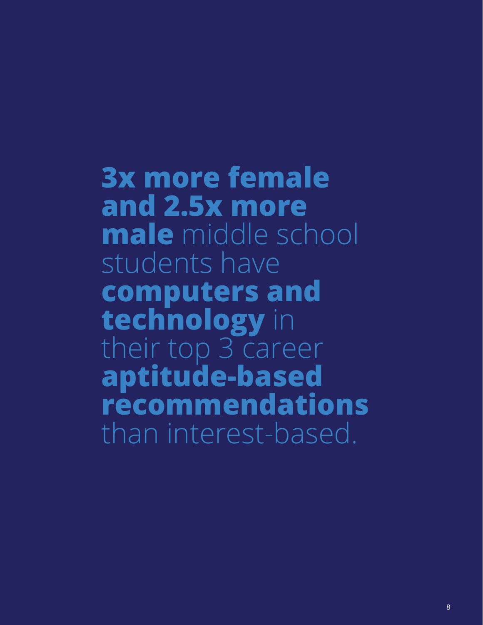**3x more female and 2.5x more male** middle school students have **computers and technology** in their top 3 career **aptitude-based recommendations** than interest-based.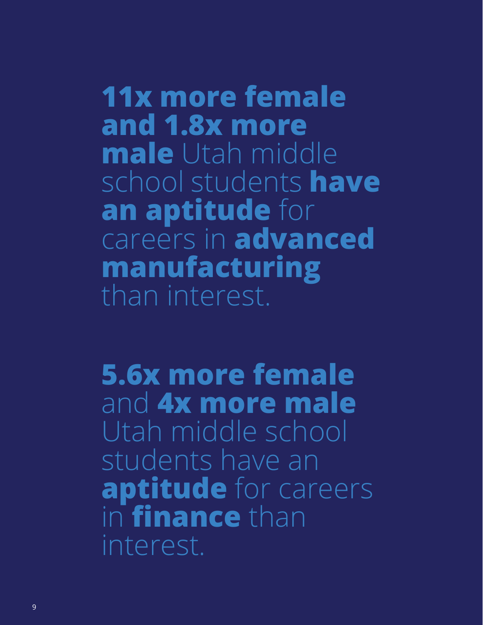**11x more female and 1.8x more male** Utah middle school students **have an aptitude** for careers in **advanced manufacturing** than interest.

**5.6x more female**  and **4x more male**  Utah middle school students have an **aptitude** for careers in **finance** than interest.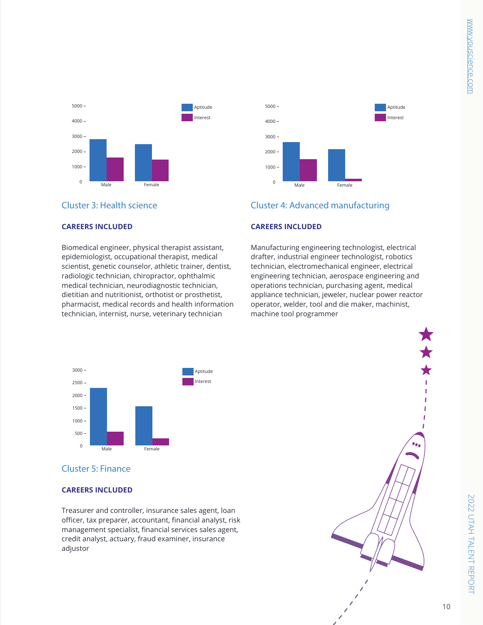

#### Cluster 3: Health science

#### **CAREERS INCLUDED**

Biomedical engineer, physical therapist assistant, epidemiologist, occupational therapist, medical scientist, genetic counselor, athletic trainer, dentist, radiologic technician, chiropractor, ophthalmic medical technician, neurodiagnostic technician, dietitian and nutritionist, orthotist or prosthetist, pharmacist, medical records and health information technician, internist, nurse, veterinary technician



#### Cluster 4: Advanced manufacturing

#### **CAREERS INCLUDED**

Manufacturing engineering technologist, electrical drafter, industrial engineer technologist, robotics technician, electromechanical engineer, electrical engineering technician, aerospace engineering and operations technician, purchasing agent, medical appliance technician, jeweler, nuclear power reactor operator, welder, tool and die maker, machinist, machine tool programmer



#### Cluster 5: Finance

#### **CAREERS INCLUDED**

Treasurer and controller, insurance sales agent, loan officer, tax preparer, accountant, financial analyst, risk management specialist, financial services sales agent, credit analyst, actuary, fraud examiner, insurance adjustor

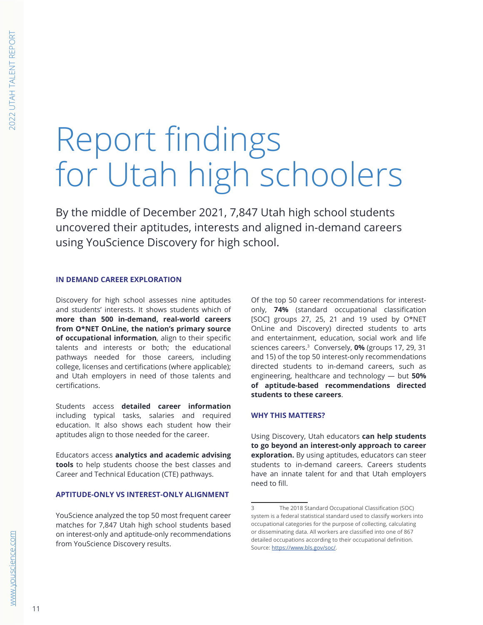## Report findings for Utah high schoolers

By the middle of December 2021, 7,847 Utah high school students uncovered their aptitudes, interests and aligned in-demand careers using YouScience Discovery for high school.

#### **IN DEMAND CAREER EXPLORATION**

Discovery for high school assesses nine aptitudes and students' interests. It shows students which of **more than 500 in-demand, real-world careers from O\*NET OnLine, the nation's primary source of occupational information**, align to their specific talents and interests or both; the educational pathways needed for those careers, including college, licenses and certifications (where applicable); and Utah employers in need of those talents and certifications.

Students access **detailed career information** including typical tasks, salaries and required education. It also shows each student how their aptitudes align to those needed for the career.

Educators access **analytics and academic advising tools** to help students choose the best classes and Career and Technical Education (CTE) pathways.

#### **APTITUDE-ONLY VS INTEREST-ONLY ALIGNMENT**

YouScience analyzed the top 50 most frequent career matches for 7,847 Utah high school students based on interest-only and aptitude-only recommendations from YouScience Discovery results.

Of the top 50 career recommendations for interestonly, **74%** (standard occupational classification [SOC] groups 27, 25, 21 and 19 used by O\*NET OnLine and Discovery) directed students to arts and entertainment, education, social work and life sciences careers.31 Conversely, **0%** (groups 17, 29, 31 and 15) of the top 50 interest-only recommendations directed students to in-demand careers, such as engineering, healthcare and technology — but **50% of aptitude-based recommendations directed students to these careers**.

#### **WHY THIS MATTERS?**

Using Discovery, Utah educators **can help students to go beyond an interest-only approach to career exploration.** By using aptitudes, educators can steer students to in-demand careers. Careers students have an innate talent for and that Utah employers need to fill.

<sup>3</sup> The 2018 Standard Occupational Classification (SOC) system is a federal statistical standard used to classify workers into occupational categories for the purpose of collecting, calculating or disseminating data. All workers are classified into one of 867 detailed occupations according to their occupational definition. Source: [https://www.bls.gov/soc/.](https://www.bls.gov/soc/)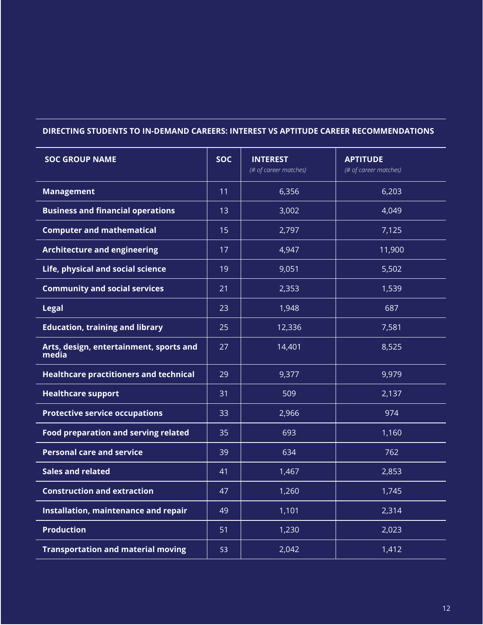#### **DIRECTING STUDENTS TO IN-DEMAND CAREERS: INTEREST VS APTITUDE CAREER RECOMMENDATIONS**

| <b>SOC GROUP NAME</b>                            | <b>SOC</b> | <b>INTEREST</b><br>(# of career matches) | <b>APTITUDE</b><br>(# of career matches) |
|--------------------------------------------------|------------|------------------------------------------|------------------------------------------|
| <b>Management</b>                                | 11         | 6,356                                    | 6,203                                    |
| <b>Business and financial operations</b>         | 13         | 3,002                                    | 4,049                                    |
| <b>Computer and mathematical</b>                 | 15         | 2,797                                    | 7,125                                    |
| <b>Architecture and engineering</b>              | 17         | 4,947                                    | 11,900                                   |
| Life, physical and social science                | 19         | 9,051                                    | 5,502                                    |
| <b>Community and social services</b>             | 21         | 2,353                                    | 1,539                                    |
| <b>Legal</b>                                     | 23         | 1,948                                    | 687                                      |
| <b>Education, training and library</b>           | 25         | 12,336                                   | 7,581                                    |
| Arts, design, entertainment, sports and<br>media | 27         | 14,401                                   | 8,525                                    |
| <b>Healthcare practitioners and technical</b>    | 29         | 9,377                                    | 9,979                                    |
| <b>Healthcare support</b>                        | 31         | 509                                      | 2,137                                    |
| <b>Protective service occupations</b>            | 33         | 2,966                                    | 974                                      |
| <b>Food preparation and serving related</b>      | 35         | 693                                      | 1,160                                    |
| <b>Personal care and service</b>                 | 39         | 634                                      | 762                                      |
| <b>Sales and related</b>                         | 41         | 1,467                                    | 2,853                                    |
| <b>Construction and extraction</b>               | 47         | 1,260                                    | 1,745                                    |
| Installation, maintenance and repair             | 49         | 1,101                                    | 2,314                                    |
| <b>Production</b>                                | 51         | 1,230                                    | 2,023                                    |
| <b>Transportation and material moving</b>        | 53         | 2,042                                    | 1,412                                    |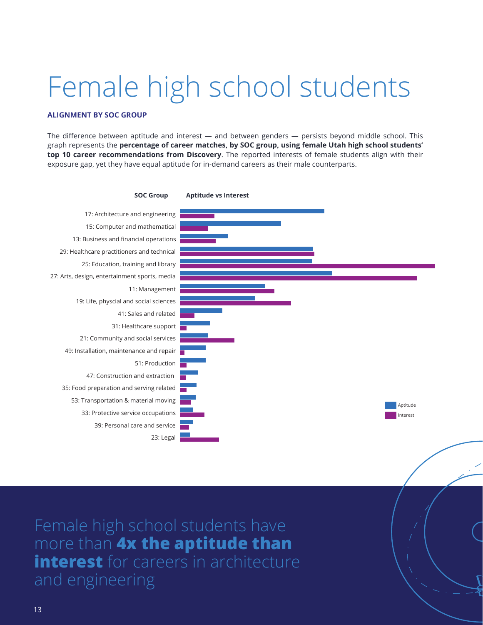### Female high school students

#### **ALIGNMENT BY SOC GROUP**

The difference between aptitude and interest  $-$  and between genders  $-$  persists beyond middle school. This graph represents the **percentage of career matches, by SOC group, using female Utah high school students' top 10 career recommendations from Discovery**. The reported interests of female students align with their exposure gap, yet they have equal aptitude for in-demand careers as their male counterparts.



Male Female <sup>0</sup>

Female high school students have **Mandax the aptitude than interest** for careers in architecture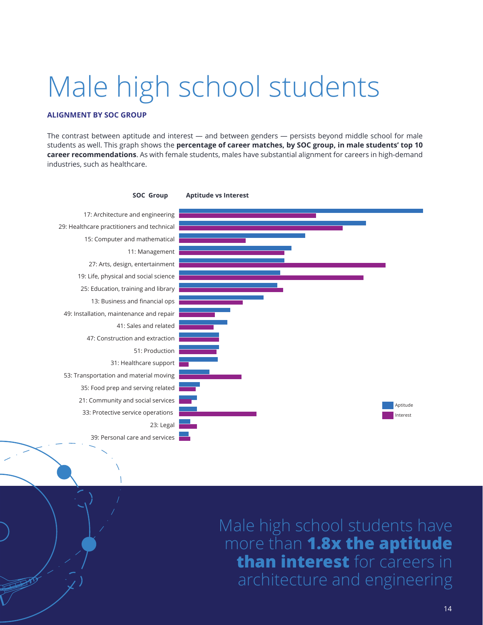### Male high school students

#### **ALIGNMENT BY SOC GROUP**

 $\mathcal{L}_{\mathbb{Z}}$ 

 $\Delta$ 

The contrast between aptitude and interest — and between genders — persists beyond middle school for male students as well. This graph shows the **percentage of career matches, by SOC group, in male students' top 10**   $\bm{\epsilon}$ areer re $\bm{\epsilon}$ ommendations. As with female students, males have substantial alignment for careers in high-demand industries, such as healthcare.



Male high school students have more than **1.8x the aptitude than interest** for careers in ecture and engineering.<br>"